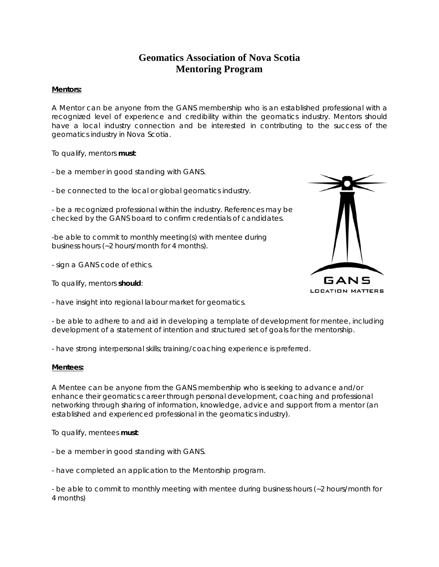## Geomatics Association of Nova Scotia **Mentoring Program**

## **Mentors:**

A Mentor can be anyone from the GANS membership who is an established professional with a recognized level of experience and credibility within the geomatics industry. Mentors should have a local industry connection and be interested in contributing to the success of the geomatics industry in Nova Scotia.

To qualify, mentors **must**:

- be a member in good standing with GANS.

- be a member in good standing with GANS.<br>- be connected to the local or global geomatics industry.

- be a recognized professional within the industry. References may be checked by the GANS board to confirm credentials of candidates.

-be able to commit to monthly meeting(s) with mentee during business hours (~2 hours/month for 4 months).

- sign a GANS code of ethics.

To qualify, mentors **should**:

- have insight into regional labour market for geomatics.



- be able to adhere to and aid in developing a template of development for mentee, including development of a statement of intention and structured set of goals for the mentorship.

- have strong interpersonal skills; training/coaching experience is preferred.

## **Mentees :**

A Mentee can be anyone from the GANS membership who is seeking to advance and/or enhance their geomatics career through personal development, coaching and professional networking through sharing of information, knowledge, advice and support from a mentor (an established and experienced professional in the geomatics industry).

To qualify, mentees **must**:

- be a member in good standing with GANS.
- be a member in good standing with GANS.<br>- have completed an application to the Mentorship program.

- be able to commit to monthly meeting with mentee during business hours (~2 hours/month for 4 months s)